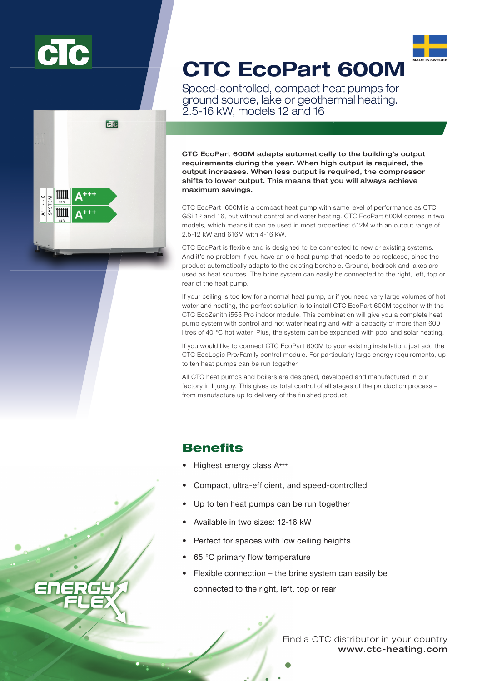



# CTC EcoPart 600M

Speed-controlled, compact heat pumps for ground source, lake or geothermal heating. 2.5-16 kW, models 12 and 16

CTC EcoPart 600M adapts automatically to the building's output requirements during the year. When high output is required, the output increases. When less output is required, the compressor shifts to lower output. This means that you will always achieve maximum savings.

CTC EcoPart 600M is a compact heat pump with same level of performance as CTC GSi 12 and 16, but without control and water heating. CTC EcoPart 600M comes in two models, which means it can be used in most properties: 612M with an output range of 2.5-12 kW and 616M with 4-16 kW.

CTC EcoPart is flexible and is designed to be connected to new or existing systems. And it's no problem if you have an old heat pump that needs to be replaced, since the product automatically adapts to the existing borehole. Ground, bedrock and lakes are used as heat sources. The brine system can easily be connected to the right, left, top or rear of the heat pump.

If your ceiling is too low for a normal heat pump, or if you need very large volumes of hot water and heating, the perfect solution is to install CTC EcoPart 600M together with the CTC EcoZenith i555 Pro indoor module. This combination will give you a complete heat pump system with control and hot water heating and with a capacity of more than 600 litres of 40 °C hot water. Plus, the system can be expanded with pool and solar heating.

If you would like to connect CTC EcoPart 600M to your existing installation, just add the CTC EcoLogic Pro/Family control module. For particularly large energy requirements, up to ten heat pumps can be run together.

All CTC heat pumps and boilers are designed, developed and manufactured in our factory in Liungby. This gives us total control of all stages of the production process – from manufacture up to delivery of the finished product.

## Benefits

- Highest energy class A<sup>+++</sup>
- Compact, ultra-efficient, and speed-controlled
- Up to ten heat pumps can be run together
- Available in two sizes: 12-16 kW
- Perfect for spaces with low ceiling heights
- 65 °C primary flow temperature
- Flexible connection the brine system can easily be connected to the right, left, top or rear

www.ctc-heating.com Find a CTC distributor in your country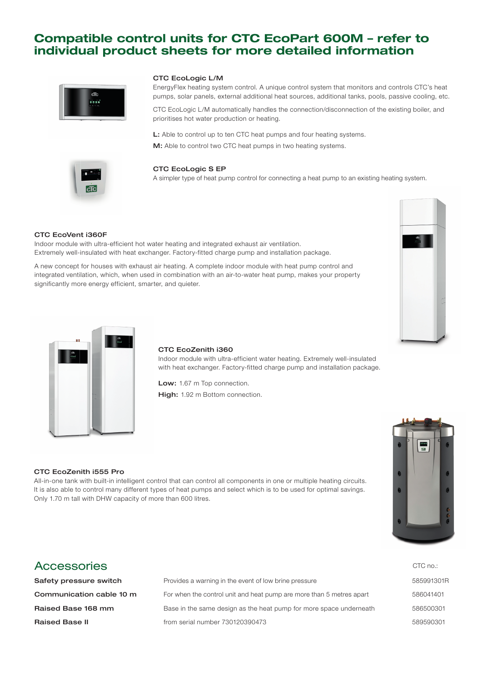## Compatible control units for CTC EcoPart 600M – refer to individual product sheets for more detailed information



#### CTC EcoLogic L/M

EnergyFlex heating system control. A unique control system that monitors and controls CTC's heat pumps, solar panels, external additional heat sources, additional tanks, pools, passive cooling, etc.

CTC EcoLogic L/M automatically handles the connection/disconnection of the existing boiler, and prioritises hot water production or heating.

L: Able to control up to ten CTC heat pumps and four heating systems. M: Able to control two CTC heat pumps in two heating systems.



#### CTC EcoLogic S EP

A simpler type of heat pump control for connecting a heat pump to an existing heating system.

#### CTC EcoVent i360F

Indoor module with ultra-efficient hot water heating and integrated exhaust air ventilation. Extremely well-insulated with heat exchanger. Factory-fitted charge pump and installation package.

A new concept for houses with exhaust air heating. A complete indoor module with heat pump control and integrated ventilation, which, when used in combination with an air-to-water heat pump, makes your property significantly more energy efficient, smarter, and quieter.





#### CTC EcoZenith i360

Indoor module with ultra-efficient water heating. Extremely well-insulated with heat exchanger. Factory-fitted charge pump and installation package.

Low: 1.67 m Top connection.

High: 1.92 m Bottom connection.

#### CTC EcoZenith i555 Pro

All-in-one tank with built-in intelligent control that can control all components in one or multiple heating circuits. It is also able to control many different types of heat pumps and select which is to be used for optimal savings. Only 1.70 m tall with DHW capacity of more than 600 litres.

### Accessories

**Safety pressure switch** Provides a warning in the event of low brine pressure **Communication cable 10 m** For when the control unit and heat pump are more than 5 metres apart **Raised Base 168 mm** Base in the same design as the heat pump for more space underneath Raised Base II from serial number 730120390473



| CTC no.:   |
|------------|
| 585991301R |
| 586041401  |
| 586500301  |
| 589590301  |